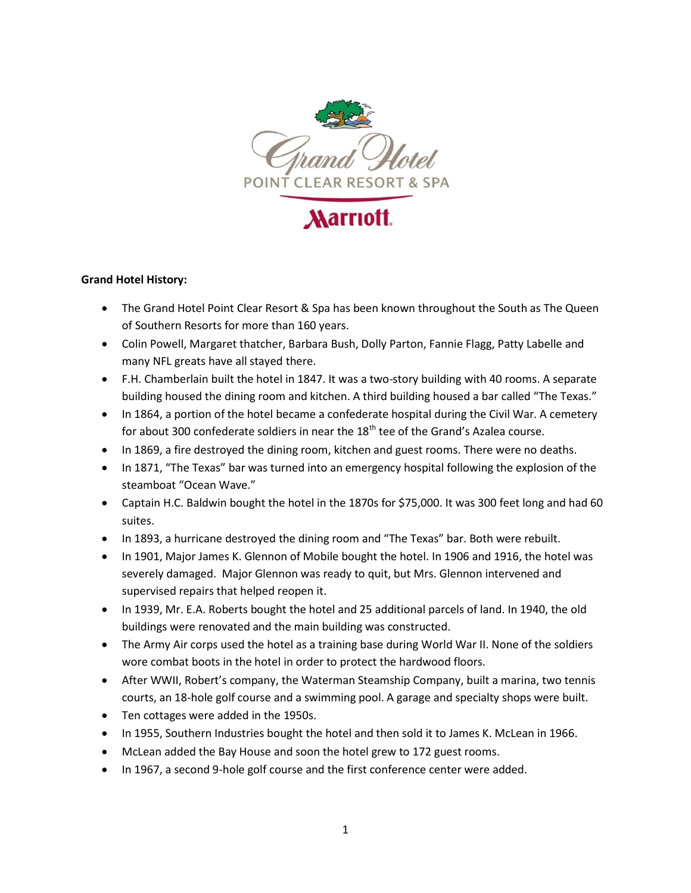

**Marriott.** 

## **Grand Hotel History:**

- The Grand Hotel Point Clear Resort & Spa has been known throughout the South as The Queen of Southern Resorts for more than 160 years.
- Colin Powell, Margaret thatcher, Barbara Bush, Dolly Parton, Fannie Flagg, Patty Labelle and many NFL greats have all stayed there.
- F.H. Chamberlain built the hotel in 1847. It was a two-story building with 40 rooms. A separate building housed the dining room and kitchen. A third building housed a bar called "The Texas."
- In 1864, a portion of the hotel became a confederate hospital during the Civil War. A cemetery for about 300 confederate soldiers in near the  $18<sup>th</sup>$  tee of the Grand's Azalea course.
- In 1869, a fire destroyed the dining room, kitchen and guest rooms. There were no deaths.
- In 1871, "The Texas" bar was turned into an emergency hospital following the explosion of the steamboat "Ocean Wave."
- Captain H.C. Baldwin bought the hotel in the 1870s for \$75,000. It was 300 feet long and had 60 suites.
- In 1893, a hurricane destroyed the dining room and "The Texas" bar. Both were rebuilt.
- In 1901, Major James K. Glennon of Mobile bought the hotel. In 1906 and 1916, the hotel was severely damaged. Major Glennon was ready to quit, but Mrs. Glennon intervened and supervised repairs that helped reopen it.
- In 1939, Mr. E.A. Roberts bought the hotel and 25 additional parcels of land. In 1940, the old buildings were renovated and the main building was constructed.
- The Army Air corps used the hotel as a training base during World War II. None of the soldiers wore combat boots in the hotel in order to protect the hardwood floors.
- After WWII, Robert's company, the Waterman Steamship Company, built a marina, two tennis courts, an 18-hole golf course and a swimming pool. A garage and specialty shops were built.
- Ten cottages were added in the 1950s.
- In 1955, Southern Industries bought the hotel and then sold it to James K. McLean in 1966.
- McLean added the Bay House and soon the hotel grew to 172 guest rooms.
- In 1967, a second 9-hole golf course and the first conference center were added.